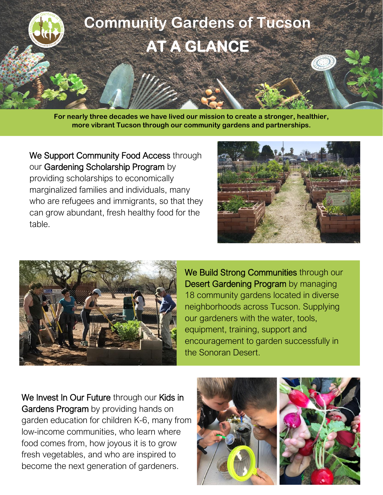

**For nearly three decades we have lived our mission to create a stronger, healthier, more vibrant Tucson through our community gardens and partnerships.**

We Support Community Food Access through our Gardening Scholarship Program by providing scholarships to economically marginalized families and individuals, many who are refugees and immigrants, so that they can grow abundant, fresh healthy food for the table.





We Build Strong Communities through our Desert Gardening Program by managing 18 community gardens located in diverse neighborhoods across Tucson. Supplying our gardeners with the water, tools, equipment, training, support and encouragement to garden successfully in the Sonoran Desert.

We Invest In Our Future through our Kids in Gardens Program by providing hands on garden education for children K-6, many from low-income communities, who learn where food comes from, how joyous it is to grow fresh vegetables, and who are inspired to become the next generation of gardeners.